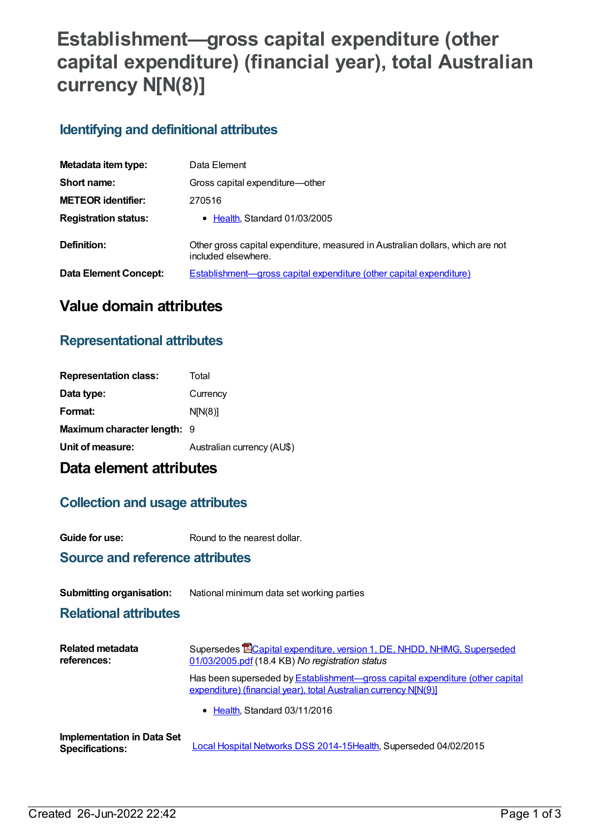# **Establishment—gross capital expenditure (other capital expenditure) (financial year), total Australian currency N[N(8)]**

### **Identifying and definitional attributes**

| Metadata item type:         | Data Element                                                                                          |
|-----------------------------|-------------------------------------------------------------------------------------------------------|
| Short name:                 | Gross capital expenditure-other                                                                       |
| <b>METEOR identifier:</b>   | 270516                                                                                                |
| <b>Registration status:</b> | • Health, Standard 01/03/2005                                                                         |
| Definition:                 | Other gross capital expenditure, measured in Australian dollars, which are not<br>included elsewhere. |
| Data Element Concept:       | Establishment—gross capital expenditure (other capital expenditure)                                   |

## **Value domain attributes**

### **Representational attributes**

| <b>Representation class:</b> | Total                      |
|------------------------------|----------------------------|
| Data type:                   | Currency                   |
| Format:                      | N[N(8)]                    |
| Maximum character length: 9  |                            |
| Unit of measure:             | Australian currency (AU\$) |

# **Data element attributes**

### **Collection and usage attributes**

**Guide for use:** Round to the nearest dollar.

### **Source and reference attributes**

#### **Submitting organisation:** National minimum data set working parties

#### **Relational attributes**

| <b>Related metadata</b><br>references:                      | Supersedes <b>ECapital expenditure, version 1, DE, NHDD, NHIMG, Superseded</b><br>01/03/2005.pdf (18.4 KB) No registration status                        |  |
|-------------------------------------------------------------|----------------------------------------------------------------------------------------------------------------------------------------------------------|--|
|                                                             | Has been superseded by <b>Establishment—gross capital expenditure (other capital</b><br>expenditure) (financial year), total Australian currency N[N(9)] |  |
|                                                             | • Health, Standard 03/11/2016                                                                                                                            |  |
| <b>Implementation in Data Set</b><br><b>Specifications:</b> | Local Hospital Networks DSS 2014-15Health, Superseded 04/02/2015                                                                                         |  |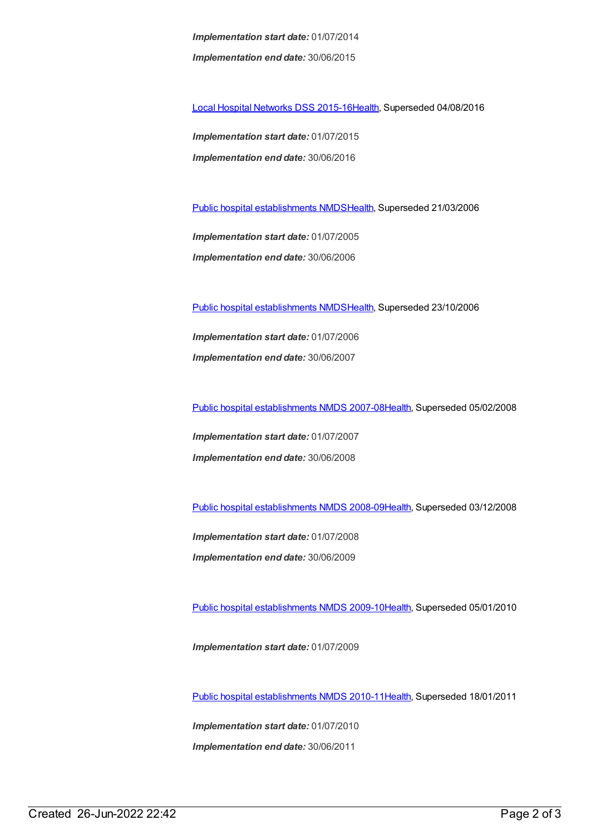*Implementation start date:* 01/07/2014 *Implementation end date:* 30/06/2015

Local Hospital [Networks](https://meteor.aihw.gov.au/content/600241) DSS 2015-16[Health,](https://meteor.aihw.gov.au/RegistrationAuthority/12) Superseded 04/08/2016

*Implementation start date:* 01/07/2015 *Implementation end date:* 30/06/2016

Public hospital [establishments](https://meteor.aihw.gov.au/content/273047) NMDS[Health](https://meteor.aihw.gov.au/RegistrationAuthority/12), Superseded 21/03/2006

*Implementation start date:* 01/07/2005 *Implementation end date:* 30/06/2006

Public hospital [establishments](https://meteor.aihw.gov.au/content/334285) NMDS[Health](https://meteor.aihw.gov.au/RegistrationAuthority/12), Superseded 23/10/2006

*Implementation start date:* 01/07/2006 *Implementation end date:* 30/06/2007

Public hospital [establishments](https://meteor.aihw.gov.au/content/345139) NMDS 2007-08[Health](https://meteor.aihw.gov.au/RegistrationAuthority/12), Superseded 05/02/2008

*Implementation start date:* 01/07/2007 *Implementation end date:* 30/06/2008

Public hospital [establishments](https://meteor.aihw.gov.au/content/362302) NMDS 2008-09[Health](https://meteor.aihw.gov.au/RegistrationAuthority/12), Superseded 03/12/2008

*Implementation start date:* 01/07/2008 *Implementation end date:* 30/06/2009

Public hospital [establishments](https://meteor.aihw.gov.au/content/374924) NMDS 2009-10[Health](https://meteor.aihw.gov.au/RegistrationAuthority/12), Superseded 05/01/2010

*Implementation start date:* 01/07/2009

Public hospital [establishments](https://meteor.aihw.gov.au/content/386794) NMDS 2010-11[Health](https://meteor.aihw.gov.au/RegistrationAuthority/12), Superseded 18/01/2011

*Implementation start date:* 01/07/2010 *Implementation end date:* 30/06/2011